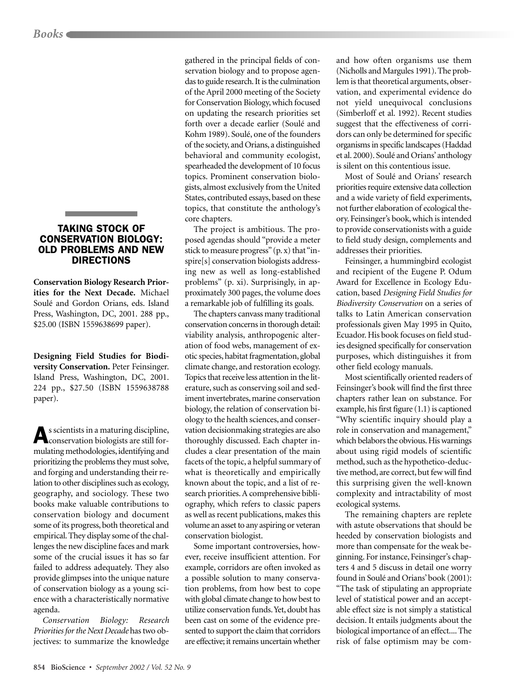## TAKING STOCK OF CONSERVATION BIOLOGY: OLD PROBLEMS AND NEW DIRECTIONS

**Conservation Biology Research Priorities for the Next Decade.** Michael Soulé and Gordon Orians, eds. Island Press, Washington, DC, 2001. 288 pp., \$25.00 (ISBN 1559638699 paper).

**Designing Field Studies for Biodiversity Conservation.** Peter Feinsinger. Island Press, Washington, DC, 2001. 224 pp., \$27.50 (ISBN 1559638788 paper).

s scientists in a maturing discipline, conservation biologists are still formulating methodologies, identifying and prioritizing the problems they must solve, and forging and understanding their relation to other disciplines such as ecology, geography, and sociology. These two books make valuable contributions to conservation biology and document some of its progress, both theoretical and empirical. They display some of the challenges the new discipline faces and mark some of the crucial issues it has so far failed to address adequately. They also provide glimpses into the unique nature of conservation biology as a young science with a characteristically normative agenda.

*Conservation Biology: Research Priorities for the Next Decade* has two objectives: to summarize the knowledge gathered in the principal fields of conservation biology and to propose agendas to guide research. It is the culmination of the April 2000 meeting of the Society for Conservation Biology, which focused on updating the research priorities set forth over a decade earlier (Soulé and Kohm 1989). Soulé, one of the founders of the society, and Orians, a distinguished behavioral and community ecologist, spearheaded the development of 10 focus topics. Prominent conservation biologists, almost exclusively from the United States, contributed essays, based on these topics, that constitute the anthology's core chapters.

The project is ambitious. The proposed agendas should "provide a meter stick to measure progress"(p. x) that "inspire[s] conservation biologists addressing new as well as long-established problems" (p. xi). Surprisingly, in approximately 300 pages, the volume does a remarkable job of fulfilling its goals.

The chapters canvass many traditional conservation concerns in thorough detail: viability analysis, anthropogenic alteration of food webs, management of exotic species, habitat fragmentation, global climate change, and restoration ecology. Topics that receive less attention in the literature, such as conserving soil and sediment invertebrates, marine conservation biology, the relation of conservation biology to the health sciences, and conservation decisionmaking strategies are also thoroughly discussed. Each chapter includes a clear presentation of the main facets of the topic, a helpful summary of what is theoretically and empirically known about the topic, and a list of research priorities. A comprehensive bibliography, which refers to classic papers as well as recent publications, makes this volume an asset to any aspiring or veteran conservation biologist.

Some important controversies, however, receive insufficient attention. For example, corridors are often invoked as a possible solution to many conservation problems, from how best to cope with global climate change to how best to utilize conservation funds.Yet, doubt has been cast on some of the evidence presented to support the claim that corridors are effective; it remains uncertain whether and how often organisms use them (Nicholls and Margules 1991). The problem is that theoretical arguments, observation, and experimental evidence do not yield unequivocal conclusions (Simberloff et al. 1992). Recent studies suggest that the effectiveness of corridors can only be determined for specific organisms in specific landscapes (Haddad et al. 2000). Soulé and Orians' anthology is silent on this contentious issue.

Most of Soulé and Orians' research priorities require extensive data collection and a wide variety of field experiments, not further elaboration of ecological theory. Feinsinger's book, which is intended to provide conservationists with a guide to field study design, complements and addresses their priorities.

Feinsinger, a hummingbird ecologist and recipient of the Eugene P. Odum Award for Excellence in Ecology Education, based *Designing Field Studies for Biodiversity Conservation* on a series of talks to Latin American conservation professionals given May 1995 in Quito, Ecuador. His book focuses on field studies designed specifically for conservation purposes, which distinguishes it from other field ecology manuals.

Most scientifically oriented readers of Feinsinger's book will find the first three chapters rather lean on substance. For example, his first figure (1.1) is captioned "Why scientific inquiry should play a role in conservation and management," which belabors the obvious. His warnings about using rigid models of scientific method, such as the hypothetico-deductive method, are correct, but few will find this surprising given the well-known complexity and intractability of most ecological systems.

The remaining chapters are replete with astute observations that should be heeded by conservation biologists and more than compensate for the weak beginning. For instance, Feinsinger's chapters 4 and 5 discuss in detail one worry found in Soulé and Orians' book (2001): "The task of stipulating an appropriate level of statistical power and an acceptable effect size is not simply a statistical decision. It entails judgments about the biological importance of an effect.... The risk of false optimism may be com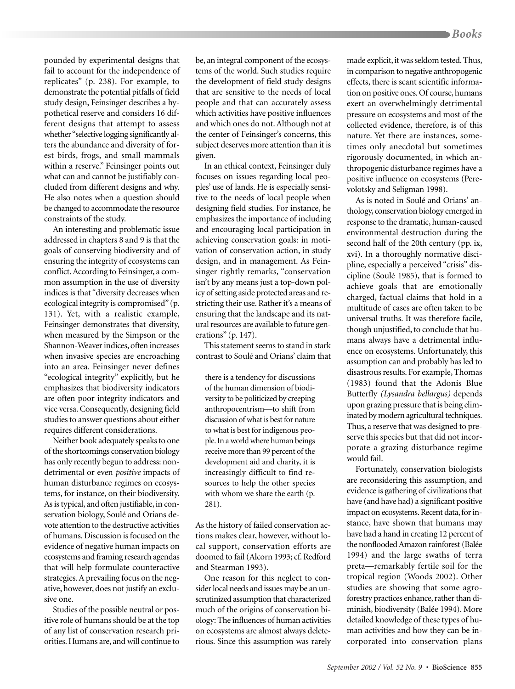pounded by experimental designs that fail to account for the independence of replicates" (p. 238). For example, to demonstrate the potential pitfalls of field study design, Feinsinger describes a hypothetical reserve and considers 16 different designs that attempt to assess whether "selective logging significantly alters the abundance and diversity of forest birds, frogs, and small mammals within a reserve." Feinsinger points out what can and cannot be justifiably concluded from different designs and why. He also notes when a question should be changed to accommodate the resource constraints of the study.

An interesting and problematic issue addressed in chapters 8 and 9 is that the goals of conserving biodiversity and of ensuring the integrity of ecosystems can conflict. According to Feinsinger, a common assumption in the use of diversity indices is that "diversity decreases when ecological integrity is compromised" (p. 131). Yet, with a realistic example, Feinsinger demonstrates that diversity, when measured by the Simpson or the Shannon-Weaver indices, often increases when invasive species are encroaching into an area. Feinsinger never defines "ecological integrity" explicitly, but he emphasizes that biodiversity indicators are often poor integrity indicators and vice versa. Consequently, designing field studies to answer questions about either requires different considerations.

Neither book adequately speaks to one of the shortcomings conservation biology has only recently begun to address: nondetrimental or even *positive* impacts of human disturbance regimes on ecosystems, for instance, on their biodiversity. As is typical, and often justifiable, in conservation biology, Soulé and Orians devote attention to the destructive activities of humans. Discussion is focused on the evidence of negative human impacts on ecosystems and framing research agendas that will help formulate counteractive strategies. A prevailing focus on the negative, however, does not justify an exclusive one.

Studies of the possible neutral or positive role of humans should be at the top of any list of conservation research priorities. Humans are, and will continue to be, an integral component of the ecosystems of the world. Such studies require the development of field study designs that are sensitive to the needs of local people and that can accurately assess which activities have positive influences and which ones do not. Although not at the center of Feinsinger's concerns, this subject deserves more attention than it is given.

In an ethical context, Feinsinger duly focuses on issues regarding local peoples' use of lands. He is especially sensitive to the needs of local people when designing field studies. For instance, he emphasizes the importance of including and encouraging local participation in achieving conservation goals: in motivation of conservation action, in study design, and in management. As Feinsinger rightly remarks, "conservation isn't by any means just a top-down policy of setting aside protected areas and restricting their use. Rather it's a means of ensuring that the landscape and its natural resources are available to future generations" (p. 147).

This statement seems to stand in stark contrast to Soulé and Orians' claim that

there is a tendency for discussions of the human dimension of biodiversity to be politicized by creeping anthropocentrism—to shift from discussion of what is best for nature to what is best for indigenous people. In a world where human beings receive more than 99 percent of the development aid and charity, it is increasingly difficult to find resources to help the other species with whom we share the earth (p. 281).

As the history of failed conservation actions makes clear, however, without local support, conservation efforts are doomed to fail (Alcorn 1993; cf. Redford and Stearman 1993).

One reason for this neglect to consider local needs and issues may be an unscrutinized assumption that characterized much of the origins of conservation biology: The influences of human activities on ecosystems are almost always deleterious. Since this assumption was rarely made explicit, it was seldom tested. Thus, in comparison to negative anthropogenic effects, there is scant scientific information on positive ones. Of course, humans exert an overwhelmingly detrimental pressure on ecosystems and most of the collected evidence, therefore, is of this nature. Yet there are instances, sometimes only anecdotal but sometimes rigorously documented, in which anthropogenic disturbance regimes have a positive influence on ecosystems (Perevolotsky and Seligman 1998).

As is noted in Soulé and Orians' anthology, conservation biology emerged in response to the dramatic, human-caused environmental destruction during the second half of the 20th century (pp. ix, xvi). In a thoroughly normative discipline, especially a perceived "crisis" discipline (Soulé 1985), that is formed to achieve goals that are emotionally charged, factual claims that hold in a multitude of cases are often taken to be universal truths. It was therefore facile, though unjustified, to conclude that humans always have a detrimental influence on ecosystems. Unfortunately, this assumption can and probably has led to disastrous results. For example, Thomas (1983) found that the Adonis Blue Butterfly *(Lysandra bellargus)* depends upon grazing pressure that is being eliminated by modern agricultural techniques. Thus, a reserve that was designed to preserve this species but that did not incorporate a grazing disturbance regime would fail.

Fortunately, conservation biologists are reconsidering this assumption, and evidence is gathering of civilizations that have (and have had) a significant positive impact on ecosystems. Recent data, for instance, have shown that humans may have had a hand in creating 12 percent of the nonflooded Amazon rainforest (Balée 1994) and the large swaths of terra preta—remarkably fertile soil for the tropical region (Woods 2002). Other studies are showing that some agroforestry practices enhance, rather than diminish, biodiversity (Balée 1994). More detailed knowledge of these types of human activities and how they can be incorporated into conservation plans